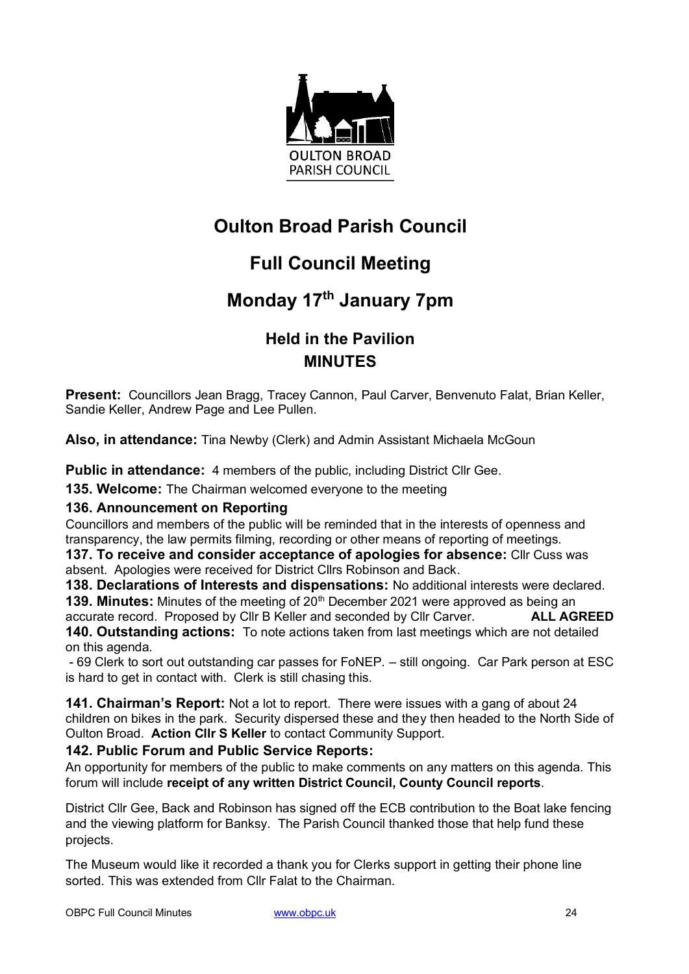

# **Oulton Broad Parish Council**

# **Full Council Meeting**

## **Monday 17th January 7pm**

## **Held in the Pavilion MINUTES**

**Present:** Councillors Jean Bragg, Tracey Cannon, Paul Carver, Benvenuto Falat, Brian Keller, Sandie Keller, Andrew Page and Lee Pullen.

**Also, in attendance:** Tina Newby (Clerk) and Admin Assistant Michaela McGoun

**Public in attendance:** 4 members of the public, including District Cllr Gee.

**135. Welcome:** The Chairman welcomed everyone to the meeting

### **136. Announcement on Reporting**

Councillors and members of the public will be reminded that in the interests of openness and transparency, the law permits filming, recording or other means of reporting of meetings.

**137. To receive and consider acceptance of apologies for absence:** Cllr Cuss was absent. Apologies were received for District Cllrs Robinson and Back.

**138. Declarations of Interests and dispensations:** No additional interests were declared. **139. Minutes:** Minutes of the meeting of 20<sup>th</sup> December 2021 were approved as being an accurate record. Proposed by Cllr B Keller and seconded by Cllr Carver. accurate record. Proposed by Cllr B Keller and seconded by Cllr Carver.

**140. Outstanding actions:** To note actions taken from last meetings which are not detailed on this agenda.

- 69 Clerk to sort out outstanding car passes for FoNEP. – still ongoing. Car Park person at ESC is hard to get in contact with. Clerk is still chasing this.

**141. Chairman's Report:** Not a lot to report. There were issues with a gang of about 24 children on bikes in the park. Security dispersed these and they then headed to the North Side of Oulton Broad. **Action Cllr S Keller** to contact Community Support.

### **142. Public Forum and Public Service Reports:**

An opportunity for members of the public to make comments on any matters on this agenda. This forum will include **receipt of any written District Council, County Council reports**.

District Cllr Gee, Back and Robinson has signed off the ECB contribution to the Boat lake fencing and the viewing platform for Banksy. The Parish Council thanked those that help fund these projects.

The Museum would like it recorded a thank you for Clerks support in getting their phone line sorted. This was extended from Cllr Falat to the Chairman.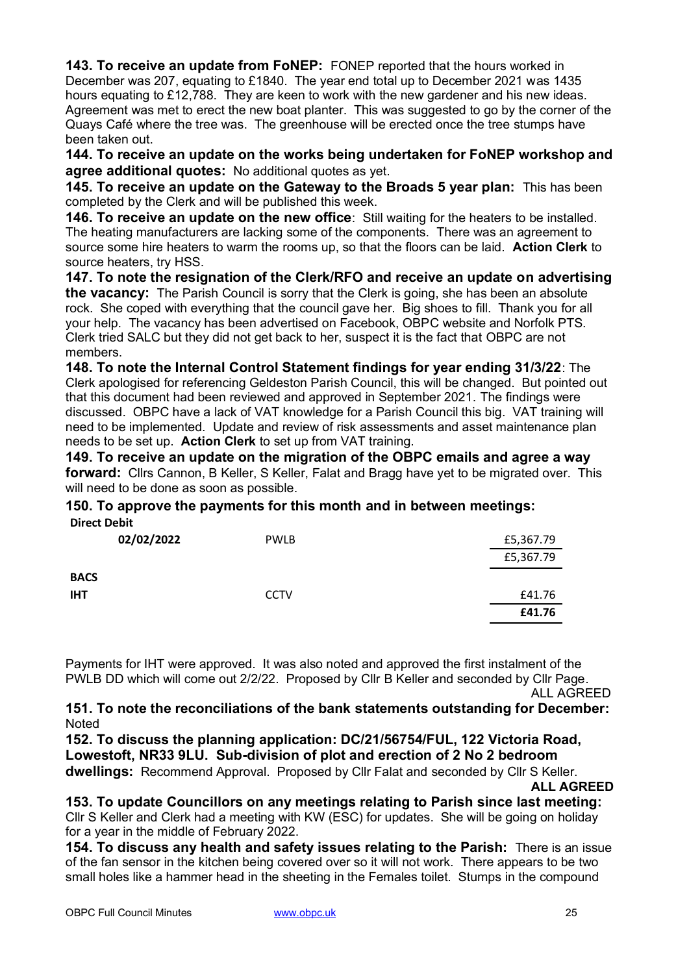**143. To receive an update from FoNEP:** FONEP reported that the hours worked in December was 207, equating to £1840. The year end total up to December 2021 was 1435 hours equating to £12,788. They are keen to work with the new gardener and his new ideas. Agreement was met to erect the new boat planter. This was suggested to go by the corner of the Quays Café where the tree was. The greenhouse will be erected once the tree stumps have been taken out.

**144. To receive an update on the works being undertaken for FoNEP workshop and agree additional quotes:** No additional quotes as yet.

**145. To receive an update on the Gateway to the Broads 5 year plan:** This has been completed by the Clerk and will be published this week.

**146. To receive an update on the new office**: Still waiting for the heaters to be installed. The heating manufacturers are lacking some of the components. There was an agreement to source some hire heaters to warm the rooms up, so that the floors can be laid. **Action Clerk** to source heaters, try HSS.

**147. To note the resignation of the Clerk/RFO and receive an update on advertising the vacancy:** The Parish Council is sorry that the Clerk is going, she has been an absolute rock. She coped with everything that the council gave her. Big shoes to fill. Thank you for all your help. The vacancy has been advertised on Facebook, OBPC website and Norfolk PTS. Clerk tried SALC but they did not get back to her, suspect it is the fact that OBPC are not members.

**148. To note the Internal Control Statement findings for year ending 31/3/22**: The Clerk apologised for referencing Geldeston Parish Council, this will be changed. But pointed out that this document had been reviewed and approved in September 2021. The findings were discussed. OBPC have a lack of VAT knowledge for a Parish Council this big. VAT training will need to be implemented. Update and review of risk assessments and asset maintenance plan needs to be set up. **Action Clerk** to set up from VAT training.

**149. To receive an update on the migration of the OBPC emails and agree a way forward:** Cllrs Cannon, B Keller, S Keller, Falat and Bragg have yet to be migrated over. This will need to be done as soon as possible.

#### **150. To approve the payments for this month and in between meetings: Direct Debit**

| 02/02/2022  | <b>PWLB</b> | £5,367.79 |
|-------------|-------------|-----------|
|             |             | £5,367.79 |
| <b>BACS</b> |             |           |
| <b>IHT</b>  | <b>CCTV</b> | £41.76    |
|             |             | £41.76    |

Payments for IHT were approved. It was also noted and approved the first instalment of the PWLB DD which will come out 2/2/22. Proposed by Cllr B Keller and seconded by Cllr Page.

ALL AGREED

**151. To note the reconciliations of the bank statements outstanding for December: Noted** 

**152. To discuss the planning application: DC/21/56754/FUL, 122 Victoria Road, Lowestoft, NR33 9LU. Sub-division of plot and erection of 2 No 2 bedroom** 

**dwellings:** Recommend Approval. Proposed by Cllr Falat and seconded by Cllr S Keller.

**ALL AGREED**

**153. To update Councillors on any meetings relating to Parish since last meeting:** Cllr S Keller and Clerk had a meeting with KW (ESC) for updates. She will be going on holiday for a year in the middle of February 2022.

**154. To discuss any health and safety issues relating to the Parish:** There is an issue of the fan sensor in the kitchen being covered over so it will not work. There appears to be two small holes like a hammer head in the sheeting in the Females toilet. Stumps in the compound